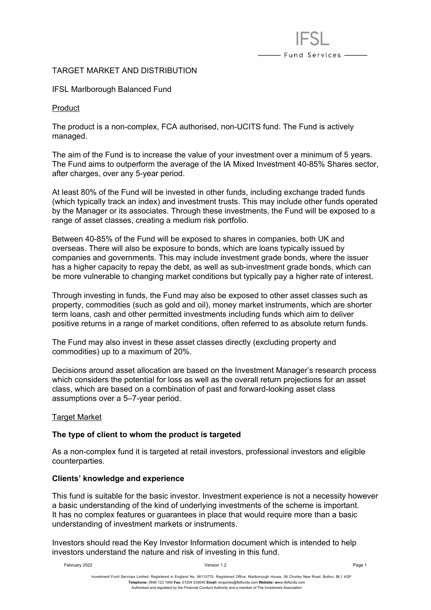# - Fund Services —

# TARGET MARKET AND DISTRIBUTION

### IFSL Marlborough Balanced Fund

#### Product

The product is a non-complex, FCA authorised, non-UCITS fund. The Fund is actively managed.

The aim of the Fund is to increase the value of your investment over a minimum of 5 years. The Fund aims to outperform the average of the IA Mixed Investment 40-85% Shares sector, after charges, over any 5-year period.

At least 80% of the Fund will be invested in other funds, including exchange traded funds (which typically track an index) and investment trusts. This may include other funds operated by the Manager or its associates. Through these investments, the Fund will be exposed to a range of asset classes, creating a medium risk portfolio.

Between 40-85% of the Fund will be exposed to shares in companies, both UK and overseas. There will also be exposure to bonds, which are loans typically issued by companies and governments. This may include investment grade bonds, where the issuer has a higher capacity to repay the debt, as well as sub-investment grade bonds, which can be more vulnerable to changing market conditions but typically pay a higher rate of interest.

Through investing in funds, the Fund may also be exposed to other asset classes such as property, commodities (such as gold and oil), money market instruments, which are shorter term loans, cash and other permitted investments including funds which aim to deliver positive returns in a range of market conditions, often referred to as absolute return funds.

The Fund may also invest in these asset classes directly (excluding property and commodities) up to a maximum of 20%.

Decisions around asset allocation are based on the Investment Manager's research process which considers the potential for loss as well as the overall return projections for an asset class, which are based on a combination of past and forward-looking asset class assumptions over a 5–7-year period.

#### **Target Market**

# **The type of client to whom the product is targeted**

As a non-complex fund it is targeted at retail investors, professional investors and eligible counterparties.

#### **Clients' knowledge and experience**

This fund is suitable for the basic investor. Investment experience is not a necessity however a basic understanding of the kind of underlying investments of the scheme is important. It has no complex features or guarantees in place that would require more than a basic understanding of investment markets or instruments.

Investors should read the Key Investor Information document which is intended to help investors understand the nature and risk of investing in this fund.

February 2022 Version 1.2 Page 1

Investment Fund Services Limited. Registered in England No. 06110770. Registered Office: Marlborough House, 59 Chorley New Road, Bolton, BL1 4QP **Telephone:** 0845 123 1084 **Fax:** 01204 533045 **Email:** [enquiries@ifslfunds.com](mailto:enquiries@ifslfunds.com) **Website: w**ww.ifslfunds.com Authorised and regulated by the Financial Conduct Authority and a member of The Investment Association